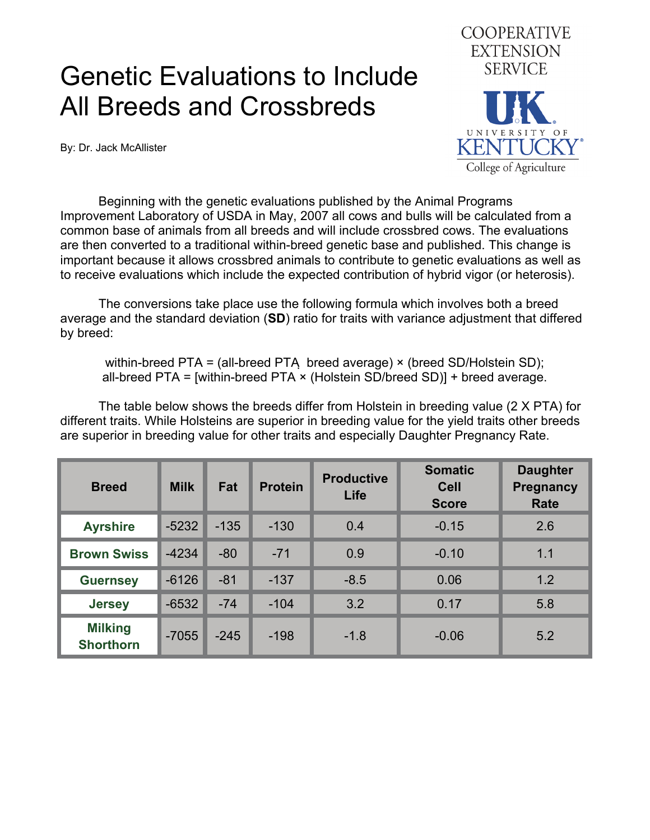## Genetic Evaluations to Include All Breeds and Crossbreds

By: Dr. Jack McAllister



 Beginning with the genetic evaluations published by the Animal Programs Improvement Laboratory of USDA in May, 2007 all cows and bulls will be calculated from a common base of animals from all breeds and will include crossbred cows. The evaluations are then converted to a traditional within-breed genetic base and published. This change is important because it allows crossbred animals to contribute to genetic evaluations as well as to receive evaluations which include the expected contribution of hybrid vigor (or heterosis).

The conversions take place use the following formula which involves both a breed average and the standard deviation (**SD**) ratio for traits with variance adjustment that differed by breed:

within-breed PTA = (all-breed PTA breed average) × (breed SD/Holstein SD); all-breed PTA = [within-breed PTA × (Holstein SD/breed SD)] + breed average.

The table below shows the breeds differ from Holstein in breeding value (2 X PTA) for different traits. While Holsteins are superior in breeding value for the yield traits other breeds are superior in breeding value for other traits and especially Daughter Pregnancy Rate.

| <b>Breed</b>                       | <b>Milk</b> | Fat    | <b>Protein</b> | <b>Productive</b><br>Life | <b>Somatic</b><br><b>Cell</b><br><b>Score</b> | <b>Daughter</b><br><b>Pregnancy</b><br>Rate |
|------------------------------------|-------------|--------|----------------|---------------------------|-----------------------------------------------|---------------------------------------------|
| <b>Ayrshire</b>                    | $-5232$     | $-135$ | $-130$         | 0.4                       | $-0.15$                                       | 2.6                                         |
| <b>Brown Swiss</b>                 | $-4234$     | $-80$  | $-71$          | 0.9                       | $-0.10$                                       | 1.1                                         |
| <b>Guernsey</b>                    | $-6126$     | $-81$  | $-137$         | $-8.5$                    | 0.06                                          | 1.2                                         |
| <b>Jersey</b>                      | $-6532$     | $-74$  | $-104$         | 3.2                       | 0.17                                          | 5.8                                         |
| <b>Milking</b><br><b>Shorthorn</b> | $-7055$     | $-245$ | $-198$         | $-1.8$                    | $-0.06$                                       | 5.2                                         |